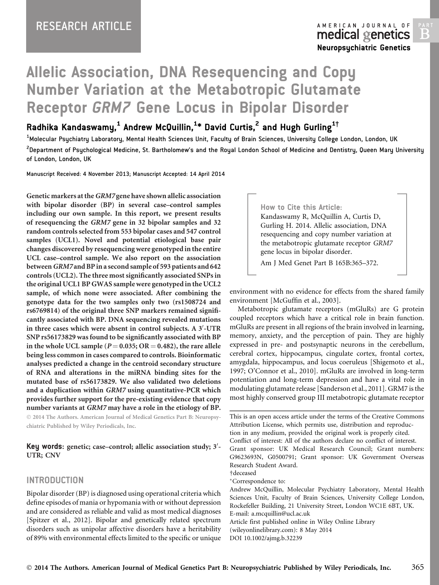AMERICAN JOURNAL OF medical genetics Neuropsychiatric Genetics

B

# Allelic Association, DNA Resequencing and Copy Number Variation at the Metabotropic Glutamate Receptor GRM7 Gene Locus in Bipolar Disorder

# Radhika Kandaswamy, $^{\mathsf{1}}$  Andrew McQuillin, $^{\mathsf{1}\ast}$  David Curtis, $^{\mathsf{2}}$  and Hugh Gurling $^{\mathsf{1}\dag}$

<sup>1</sup>Molecular Psychiatry Laboratory, Mental Health Sciences Unit, Faculty of Brain Sciences, University College London, London, UK <sup>2</sup>Department of Psychological Medicine, St. Bartholomew's and the Royal London School of Medicine and Dentistry, Queen Mary University of London, London, UK

Manuscript Received: 4 November 2013; Manuscript Accepted: 14 April 2014

Genetic markers at theGRM7 gene have shown allelic association with bipolar disorder (BP) in several case–control samples including our own sample. In this report, we present results of resequencing the GRM7 gene in 32 bipolar samples and 32 random controls selected from 553 bipolar cases and 547 control samples (UCL1). Novel and potential etiological base pair changes discovered by resequencing were genotyped in the entire UCL case–control sample. We also report on the association between GRM7 and BP in a second sample of 593 patients and 642 controls (UCL2). The three most significantly associated SNPs in the original UCL1 BP GWAS sample were genotyped in the UCL2 sample, of which none were associated. After combining the genotype data for the two samples only two (rs1508724 and rs6769814) of the original three SNP markers remained significantly associated with BP. DNA sequencing revealed mutations in three cases which were absent in control subjects. A  $3^\prime\text{-} \mathrm{UTR}$ SNP rs56173829 was found to be significantly associated with BP in the whole UCL sample ( $P = 0.035$ ; OR  $= 0.482$ ), the rare allele being less common in cases compared to controls. Bioinformatic analyses predicted a change in the centroid secondary structure of RNA and alterations in the miRNA binding sites for the mutated base of rs56173829. We also validated two deletions and a duplication within GRM7 using quantitative-PCR which provides further support for the pre-existing evidence that copy number variants at GRM7 may have a role in the etiology of BP.

 2014 The Authors. American Journal of Medical Genetics Part B: Neuropsychiatric Published by Wiley Periodicals, Inc.

Key words: genetic; case-control; allelic association study; 3'-UTR; CNV

# INTRODUCTION

Bipolar disorder (BP) is diagnosed using operational criteria which define episodes of mania or hypomania with or without depression and are considered as reliable and valid as most medical diagnoses [Spitzer et al., 2012]. Bipolar and genetically related spectrum disorders such as unipolar affective disorders have a heritability of 89% with environmental effects limited to the specific or unique How to Cite this Article: Kandaswamy R, McQuillin A, Curtis D, Gurling H. 2014. Allelic association, DNA resequencing and copy number variation at the metabotropic glutamate receptor GRM7 gene locus in bipolar disorder.

Am J Med Genet Part B 165B:365–372.

environment with no evidence for effects from the shared family environment [McGuffin et al., 2003].

Metabotropic glutamate receptors (mGluRs) are G protein coupled receptors which have a critical role in brain function. mGluRs are present in all regions of the brain involved in learning, memory, anxiety, and the perception of pain. They are highly expressed in pre- and postsynaptic neurons in the cerebellum, cerebral cortex, hippocampus, cingulate cortex, frontal cortex, amygdala, hippocampus, and locus coeruleus [Shigemoto et al., 1997; O'Connor et al., 2010]. mGluRs are involved in long-term potentiation and long-term depression and have a vital role in modulating glutamate release [Sanderson et al., 2011]. GRM7 is the most highly conserved group III metabotropic glutamate receptor

This is an open access article under the terms of the [Creative Commons](http://creativecommons.org/licenses/by/3.0/) [Attribution](http://creativecommons.org/licenses/by/3.0/) License, which permits use, distribution and reproduction in any medium, provided the original work is properly cited. Conflict of interest: All of the authors declare no conflict of interest. Grant sponsor: UK Medical Research Council; Grant numbers: G9623693N, G0500791; Grant sponsor: UK Government Overseas Research Student Award. †deceased -Correspondence to:

Andrew McQuillin, Molecular Psychiatry Laboratory, Mental Health Sciences Unit, Faculty of Brain Sciences, University College London, Rockefeller Building, 21 University Street, London WC1E 6BT, UK. E-mail: a.mcquillin@ucl.ac.uk

Article first published online in Wiley Online Library (wileyonlinelibrary.com): 8 May 2014 DOI 10.1002/ajmg.b.32239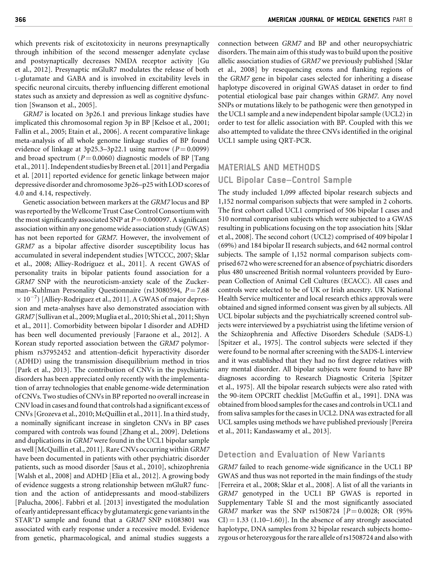which prevents risk of excitotoxicity in neurons presynaptically through inhibition of the second messenger adenylate cyclase and postsynaptically decreases NMDA receptor activity [Gu et al., 2012]. Presynaptic mGluR7 modulates the release of both L-glutamate and GABA and is involved in excitability levels in specific neuronal circuits, thereby influencing different emotional states such as anxiety and depression as well as cognitive dysfunction [Swanson et al., 2005].

GRM7 is located on 3p26.1 and previous linkage studies have implicated this chromosomal region 3p in BP [Kelsoe et al., 2001; Fallin et al., 2005; Etain et al., 2006]. A recent comparative linkage meta-analysis of all whole genome linkage studies of BP found evidence of linkage at 3p25.3–3p22.1 using narrow  $(P = 0.0099)$ and broad spectrum ( $P = 0.0060$ ) diagnostic models of BP [Tang et al., 2011]. Independent studies by Breen et al. [2011] and Pergadia et al. [2011] reported evidence for genetic linkage between major depressive disorder and chromosome 3p26–p25 with LOD scores of 4.0 and 4.14, respectively.

Genetic association between markers at the GRM7 locus and BP was reported by the Wellcome Trust Case Control Consortium with the most significantly associated SNP at  $P = 0.000097$ . A significant association within any one genome wide association study (GWAS) has not been reported for GRM7. However, the involvement of GRM7 as a bipolar affective disorder susceptibility locus has accumulated in several independent studies [WTCCC, 2007; Sklar et al., 2008; Alliey-Rodriguez et al., 2011]. A recent GWAS of personality traits in bipolar patients found association for a GRM7 SNP with the neuroticism-anxiety scale of the Zuckerman–Kuhlman Personality Questionnaire (rs13080594,  $P = 7.68$  $\times$   $10^{-7})$  [Alliey-Rodriguez et al., 2011]. A GWAS of major depression and meta-analyses have also demonstrated association with GRM7 [Sullivan et al., 2009;Muglia et al., 2010; Shi et al., 2011; Shyn et al., 2011]. Comorbidity between bipolar I disorder and ADHD has been well documented previously [Faraone et al., 2012]. A Korean study reported association between the GRM7 polymorphism rs37952452 and attention-deficit hyperactivity disorder (ADHD) using the transmission disequilibrium method in trios [Park et al., 2013]. The contribution of CNVs in the psychiatric disorders has been appreciated only recently with the implementation of array technologies that enable genome-wide determination of CNVs. Two studies of CNVs in BP reported no overall increase in CNV load in cases andfound that controls had a significant excess of CNVs [Grozeva et al., 2010; McQuillin et al., 2011]. In a third study, a nominally significant increase in singleton CNVs in BP cases compared with controls was found [Zhang et al., 2009]. Deletions and duplications in GRM7 were found in the UCL1 bipolar sample as well [McQuillin et al., 2011]. Rare CNVs occurring withinGRM7 have been documented in patients with other psychiatric disorder patients, such as mood disorder [Saus et al., 2010], schizophrenia [Walsh et al., 2008] and ADHD [Elia et al., 2012]. A growing body of evidence suggests a strong relationship between mGluR7 function and the action of antidepressants and mood-stabilizers [Palucha, 2006]. Fabbri et al. [2013] investigated the modulation of early antidepressant efficacy by glutamatergic gene variants in the STAR\*D sample and found that a GRM7 SNP rs1083801 was associated with early response under a recessive model. Evidence from genetic, pharmacological, and animal studies suggests a

connection between GRM7 and BP and other neuropsychiatric disorders. The main aim of this study was to build upon the positive allelic association studies of GRM7 we previously published [Sklar et al., 2008] by resequencing exons and flanking regions of the GRM7 gene in bipolar cases selected for inheriting a disease haplotype discovered in original GWAS dataset in order to find potential etiological base pair changes within GRM7. Any novel SNPs or mutations likely to be pathogenic were then genotyped in the UCL1 sample and a new independent bipolar sample (UCL2) in order to test for allelic association with BP. Coupled with this we also attempted to validate the three CNVs identified in the original UCL1 sample using QRT-PCR.

# MATERIALS AND METHODS

#### UCL Bipolar Case–Control Sample

The study included 1,099 affected bipolar research subjects and 1,152 normal comparison subjects that were sampled in 2 cohorts. The first cohort called UCL1 comprised of 506 bipolar I cases and 510 normal comparison subjects which were subjected to a GWAS resulting in publications focusing on the top association hits [Sklar et al., 2008]. The second cohort (UCL2) comprised of 409 bipolar I (69%) and 184 bipolar II research subjects, and 642 normal control subjects. The sample of 1,152 normal comparison subjects comprised 672 who were screened for an absence of psychiatric disorders plus 480 unscreened British normal volunteers provided by European Collection of Animal Cell Cultures (ECACC). All cases and controls were selected to be of UK or Irish ancestry. UK National Health Service multicenter and local research ethics approvals were obtained and signed informed consent was given by all subjects. All UCL bipolar subjects and the psychiatrically screened control subjects were interviewed by a psychiatrist using the lifetime version of the Schizophrenia and Affective Disorders Schedule (SADS-L) [Spitzer et al., 1975]. The control subjects were selected if they were found to be normal after screening with the SADS-L interview and it was established that they had no first degree relatives with any mental disorder. All bipolar subjects were found to have BP diagnoses according to Research Diagnostic Criteria [Spitzer et al., 1975]. All the bipolar research subjects were also rated with the 90-item OPCRIT checklist [McGuffin et al., 1991]. DNA was obtained from blood samples for the cases and controls in UCL1 and from saliva samples for the cases in UCL2. DNA was extracted for all UCL samples using methods we have published previously [Pereira et al., 2011; Kandaswamy et al., 2013].

# Detection and Evaluation of New Variants

GRM7 failed to reach genome-wide significance in the UCL1 BP GWAS and thus was not reported in the main findings of the study [Ferreira et al., 2008; Sklar et al., 2008]. A list of all the variants in GRM7 genotyped in the UCL1 BP GWAS is reported in Supplementary Table SI and the most significantly associated GRM7 marker was the SNP rs1508724  $[P = 0.0028; \text{ OR } (95\%$  $CI$ ) = 1.33 (1.10–1.60)]. In the absence of any strongly associated haplotype, DNA samples from 32 bipolar research subjects homozygous or heterozygous for the rare allele of rs1508724 and also with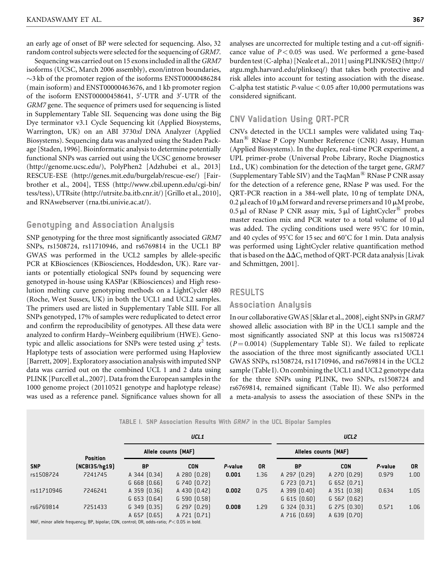an early age of onset of BP were selected for sequencing. Also, 32 random control subjects were selected for the sequencing of GRM7.

Sequencing was carried out on 15 exons included in all the GRM7 isoforms (UCSC, March 2006 assembly), exon/intron boundaries,  $\sim$ 3 kb of the promoter region of the isoforms ENST00000486284 (main isoform) and ENST00000463676, and 1 kb promoter region of the isoform  $ENST00000458641$ ,  $5'$ -UTR and  $3'$ -UTR of the GRM7 gene. The sequence of primers used for sequencing is listed in Supplementary Table SII. Sequencing was done using the Big Dye terminator v3.1 Cycle Sequencing kit (Applied Biosystems, Warrington, UK) on an ABI 3730xl DNA Analyzer (Applied Biosystems). Sequencing data was analyzed using the Staden Package [Staden, 1996]. Bioinformatic analysis to determine potentially functional SNPs was carried out using the UCSC genome browser (<http://genome.ucsc.edu/>), PolyPhen2 [Adzhubei et al., 2013] RESCUE-ESE [\(http://genes.mit.edu/burgelab/rescue-ese/\)](http://genes.mit.edu/burgelab/rescue-ese/) [Fairbrother et al., 2004], TESS [\(http://www.cbil.upenn.edu/cgi-bin/](http://www.cbil.upenn.edu/cgi-bin/tess/tess) [tess/tess\)](http://www.cbil.upenn.edu/cgi-bin/tess/tess), UTRsite (<http://utrsite.ba.itb.cnr.it/>) [Grillo et al., 2010], and RNAwebserver (rna.tbi.univie.ac.at/).

# Genotyping and Association Analysis

SNP genotyping for the three most significantly associated GRM7 SNPs, rs1508724, rs11710946, and rs6769814 in the UCL1 BP GWAS was performed in the UCL2 samples by allele-specific PCR at KBiosciences (KBiosciences, Hoddesdon, UK). Rare variants or potentially etiological SNPs found by sequencing were genotyped in-house using KASPar (KBiosciences) and High resolution melting curve genotyping methods on a LightCycler 480 (Roche, West Sussex, UK) in both the UCL1 and UCL2 samples. The primers used are listed in Supplementary Table SIII. For all SNPs genotyped, 17% of samples were reduplicated to detect error and confirm the reproducibility of genotypes. All these data were analyzed to confirm Hardy–Weinberg equilibrium (HWE). Genotypic and allelic associations for SNPs were tested using  $\chi^2$  tests. Haplotype tests of association were performed using Haploview [Barrett, 2009]. Exploratory association analysis with imputed SNP data was carried out on the combined UCL 1 and 2 data using PLINK [Purcell et al., 2007]. Data from the European samples in the 1000 genome project (20110521 genotype and haplotype release) was used as a reference panel. Significance values shown for all

analyses are uncorrected for multiple testing and a cut-off significance value of  $P < 0.05$  was used. We performed a gene-based burden test (C-alpha) [Neale et al., 2011] using PLINK/SEQ [\(http://](http://atgu.mgh.harvard.edu/plinkseq/) [atgu.mgh.harvard.edu/plinkseq/\)](http://atgu.mgh.harvard.edu/plinkseq/) that takes both protective and risk alleles into account for testing association with the disease. C-alpha test statistic P-value  $< 0.05$  after 10,000 permutations was considered significant.

# CNV Validation Using QRT-PCR

CNVs detected in the UCL1 samples were validated using Taq-Man<sup>®</sup> RNase P Copy Number Reference (CNR) Assay, Human (Applied Biosystems). In the duplex, real-time PCR experiment, a UPL primer-probe (Universal Probe Library, Roche Diagnostics Ltd., UK) combination for the detection of the target gene, GRM7 (Supplementary Table SIV) and the TaqMan<sup> $\text{R}$ </sup> RNase P CNR assay for the detection of a reference gene, RNase P was used. For the QRT-PCR reaction in a 384-well plate, 10 ng of template DNA, 0.2  $\mu$ l each of 10  $\mu$ M forward and reverse primers and 10  $\mu$ M probe, 0.5 µl of RNase P CNR assay mix, 5 µl of LightCycler<sup>®</sup> probes master reaction mix and PCR water to a total volume of  $10 \mu l$ was added. The cycling conditions used were 95˚C for 10 min, and 40 cycles of 95˚C for 15 sec and 60˚C for 1 min. Data analysis was performed using LightCycler relative quantification method that is based on the  $\Delta\Delta C_t$  method of QRT-PCR data analysis [Livak and Schmittgen, 2001].

#### RESULTS

# Association Analysis

In our collaborative GWAS [Sklar et al., 2008], eight SNPs in GRM7 showed allelic association with BP in the UCL1 sample and the most significantly associated SNP at this locus was rs1508724  $(P = 0.0014)$  (Supplementary Table SI). We failed to replicate the association of the three most significantly associated UCL1 GWAS SNPs, rs1508724, rs11710946, and rs6769814 in the UCL2 sample (Table I). On combining the UCL1 and UCL2 genotype data for the three SNPs using PLINK, two SNPs, rs1508724 and rs6769814, remained significant (Table II). We also performed a meta-analysis to assess the association of these SNPs in the

|  |  | TABLE 1. SNP Association Results With <i>GRM7</i> in the UCL Bipolar Samples |  |  |  |  |  |  |  |  |  |
|--|--|------------------------------------------------------------------------------|--|--|--|--|--|--|--|--|--|
|--|--|------------------------------------------------------------------------------|--|--|--|--|--|--|--|--|--|

|            |                 |                  | UCL1                |         |      |                      | UCL <sub>2</sub> |         |      |
|------------|-----------------|------------------|---------------------|---------|------|----------------------|------------------|---------|------|
|            | <b>Position</b> |                  | Allele counts (MAF) |         |      | Alleles counts (MAF) |                  |         |      |
| <b>SNP</b> | (NCBI35/hg19)   | <b>BP</b>        | <b>CON</b>          | P-value | 0R   | <b>BP</b>            | <b>CON</b>       | P-value | 0R   |
| rs1508724  | 7241745         | A 344 $[0.34]$   | A 280 $(0.28)$      | 0.001   | 1.36 | A 297 [0.29]         | $A$ 270 $[0.29]$ | 0.979   | 1.00 |
|            |                 | $G$ 668 $[0.66]$ | $G$ 740 $[0.72]$    |         |      | $G$ 723 $[0.71]$     | $G$ 652 $[0.71]$ |         |      |
| rs11710946 | 7246241         | A 359 $(0.36)$   | A 430 $[0.42]$      | 0.002   | 0.75 | A 399 $[0.40]$       | A 351 [0.38]     | 0.634   | 1.05 |
|            |                 | $G$ 653 $[0.64]$ | $G$ 590 $(0.58)$    |         |      | $G$ 615 $(0.60)$     | $G$ 567 $[0.62]$ |         |      |
| rs6769814  | 7251433         | $G$ 349 $(0.35)$ | $G$ 297 $[0.29]$    | 0.008   | 1.29 | $G$ 324 $[0.31]$     | $G$ 275 $[0.30]$ | 0.571   | 1.06 |
|            |                 | A 657 $(0.65)$   | A 721 [0.71]        |         |      | A 716 [0.69]         | A 639 (0.70)     |         |      |
|            |                 |                  |                     |         |      |                      |                  |         |      |

MAF, minor allele frequency; BP, bipolar; CON, control; OR, odds-ratio;  $P < 0.05$  in bold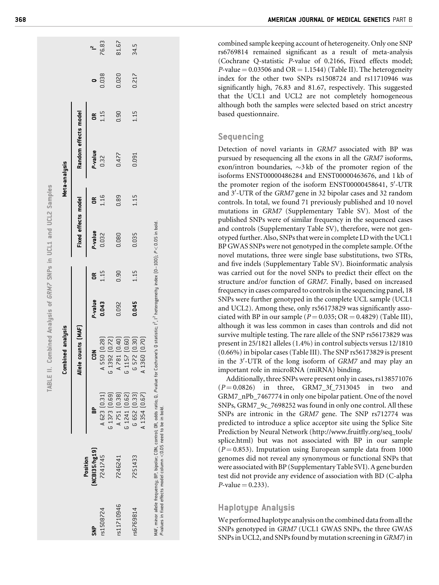|             |                          |               | Combined analysis            |         |      |                     |             | Meta-analysis        |      |       |       |
|-------------|--------------------------|---------------|------------------------------|---------|------|---------------------|-------------|----------------------|------|-------|-------|
|             |                          |               | Allele counts [MAF]          |         |      | Fixed effects model |             | Random effects model |      |       |       |
| $rac{P}{S}$ | NCB135/hg19)<br>Position | g             | <b>NO2</b>                   | P-value | ã    | P-value             | $\tilde{a}$ | P-value              | g    |       |       |
| rs1508724   | 7241745                  | A 623 [0.31]  | 550 (0.28)<br>⋖              | 0.043   | 1.15 | 0.032               | 1.16        | 0.32                 | 1.15 | 0.038 | 76.83 |
|             |                          | G 1373 (0.69) | 6 1392 (0.72)                |         |      |                     |             |                      |      |       |       |
| rs11710946  | 7246241                  | A 751 [0.38]  | 781 [0.40]<br>$\overline{a}$ | 0.092   | 0.90 | 0.080               | 0.89        | 0.477                | 0.90 | 0.020 | 81.67 |
|             |                          | G 1241 [0.62] | 157 [0.60]<br>ب<br>م         |         |      |                     |             |                      |      |       |       |
| rs6769814   | 7251433                  | G 652 [0.33]  | 572 [0.30]<br>ت              | 0.045   | 1.15 | 0.035               | 1.15        | 0.091                | 1.15 | 0.217 | 34.5  |
|             |                          | A 1354 [0.67] | A 1360 [0.70]                |         |      |                     |             |                      |      |       |       |

combined sample keeping account of heterogeneity. Only one SNP rs6769814 remained significant as a result of meta-analysis (Cochrane Q-statistic P-value of 0.2166, Fixed effects model;  $P$ -value = 0.03506 and OR = 1.1544) (Table II). The heterogeneity index for the other two SNPs rs1508724 and rs11710946 was significantly high, 76.83 and 81.67, respectively. This suggested that the UCL1 and UCL2 are not completely homogeneous although both the samples were selected based on strict ancestry based questionnaire.

# Sequencing

Detection of novel variants in GRM7 associated with BP was pursued by resequencing all the exons in all the GRM7 isoforms,  $exon/intron$  boundaries,  $\sim$ 3 kb of the promoter region of the isoforms ENST00000486284 and ENST00000463676, and 1 kb of the promoter region of the isoform ENST00000458641, 5'-UTR and 3 0 -UTR of the GRM7 gene in 32 bipolar cases and 32 random controls. In total, we found 71 previously published and 10 novel mutations in GRM7 (Supplementary Table SV). Most of the published SNPs were of similar frequency in the sequenced cases and controls (Supplementary Table SV), therefore, were not genotyped further. Also, SNPs that were in complete LD with the UCL1 BP GWAS SNPs were not genotyped in the complete sample. Of the novel mutations, three were single base substitutions, two STRs, and five indels (Supplementary Table SV). Bioinformatic analysis was carried out for the novel SNPs to predict their effect on the structure and/or function of GRM7. Finally, based on increased frequency in cases compared to controls in the sequencing panel, 18 SNPs were further genotyped in the complete UCL sample (UCL1 and UCL2). Among these, only rs56173829 was significantly associated with BP in our sample ( $P = 0.035$ ; OR = 0.4829) (Table III), although it was less common in cases than controls and did not survive multiple testing. The rare allele of the SNP rs56173829 was present in 25/1821 alleles (1.4%) in control subjects versus 12/1810 (0.66%) in bipolar cases (Table III). The SNP rs56173829 is present in the 3'-UTR of the long isoform of GRM7 and may play an important role in microRNA (miRNA) binding.

Additionally, three SNPs were present only in cases, rs138571076  $(P=0.0826)$  in three, GRM7\_3f\_7313045 in two and GRM7\_nPb\_7467774 in only one bipolar patient. One of the novel SNPs, GRM7\_9c\_7698252 was found in only one control. All these SNPs are intronic in the GRM7 gene. The SNP rs712774 was predicted to introduce a splice acceptor site using the Splice Site Prediction by Neural Network [\(http://www.fruitfly.org/seq\\_tools/](http://www.fruitfly.org/seq_tools/splice.html) [splice.html\)](http://www.fruitfly.org/seq_tools/splice.html) but was not associated with BP in our sample  $(P = 0.853)$ . Imputation using European sample data from 1000 genomes did not reveal any synonymous or functional SNPs that were associated with BP (Supplementary Table SVI). A gene burden test did not provide any evidence of association with BD (C-alpha  $P$ -value = 0.233).

# Haplotype Analysis

We performed haplotype analysis on the combined data from all the SNPs genotyped in GRM7 (UCL1 GWAS SNPs, the three GWAS SNPs in UCL2, and SNPs found by mutation screening inGRM7) in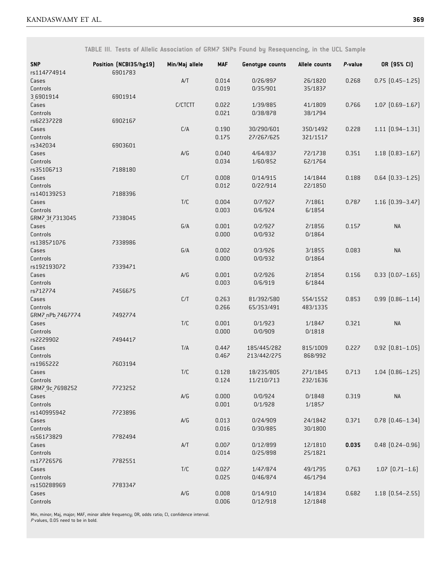TABLE III. Tests of Allelic Association of GRM7 SNPs Found by Resequencing, in the UCL Sample

| <b>SNP</b><br>rs114774914 | Position (NCBI35/hg19)<br>6901783 | Min/Maj allele          | <b>MAF</b> | Genotype counts | Allele counts | P-value | OR (95% CI)            |
|---------------------------|-----------------------------------|-------------------------|------------|-----------------|---------------|---------|------------------------|
| Cases                     |                                   | $\mathsf{A}/\mathsf{T}$ | 0.014      | 0/26/897        | 26/1820       | 0.268   | $0.75$ $(0.45 - 1.25)$ |
| Controls                  |                                   |                         | 0.019      | 0/35/901        | 35/1837       |         |                        |
| 36901914                  | 6901914                           |                         |            |                 |               |         |                        |
| Cases                     |                                   | C/CTCTT                 | 0.022      | 1/39/885        | 41/1809       | 0.766   | $1.07$ $(0.69 - 1.67)$ |
| Controls                  |                                   |                         | 0.021      | 0/38/878        | 38/1794       |         |                        |
| rs62237228                | 6902167                           |                         |            |                 |               |         |                        |
| Cases                     |                                   | C/A                     | 0.190      | 30/290/601      | 350/1492      | 0.228   | $1.11$ $(0.94 - 1.31)$ |
| Controls                  |                                   |                         | 0.175      | 27/267/625      | 321/1517      |         |                        |
| rs342034                  | 6903601                           |                         |            |                 |               |         |                        |
| Cases                     |                                   | $\mathsf{A}/\mathsf{G}$ | 0.040      | 4/64/837        | 72/1738       | 0.351   | $1.18$ $(0.83 - 1.67)$ |
| Controls                  |                                   |                         | 0.034      | 1/60/852        | 62/1764       |         |                        |
| rs35106713                | 7188180                           |                         |            |                 |               |         |                        |
| Cases                     |                                   | C/T                     | 0.008      | 0/14/915        | 14/1844       | 0.188   | $0.64$ $(0.33 - 1.25)$ |
| Controls                  |                                   |                         | 0.012      | 0/22/914        | 22/1850       |         |                        |
| rs140139253               | 7188396                           |                         |            |                 |               |         |                        |
| Cases                     |                                   | T/C                     | 0.004      | 0/7/927         | 7/1861        | 0.787   | $1.16$ $(0.39-3.47)$   |
| Controls                  |                                   |                         | 0.003      | 0/6/924         | 6/1854        |         |                        |
| GRM7 3f 7313045           | 7338045                           |                         |            |                 |               |         |                        |
| Cases                     |                                   | G/A                     | 0.001      | 0/2/927         | 2/1856        | 0.157   | <b>NA</b>              |
| Controls                  |                                   |                         | 0.000      | 0/0/932         | 0/1864        |         |                        |
| rs138571076               | 7338986                           |                         |            |                 |               |         |                        |
| Cases                     |                                   | G/A                     | 0.002      | 0/3/926         | 3/1855        | 0.083   | <b>NA</b>              |
| Controls                  |                                   |                         | 0.000      | 0/0/932         | 0/1864        |         |                        |
| rs192193072               | 7339471                           |                         |            |                 |               |         |                        |
| Cases                     |                                   | A/G                     | 0.001      | 0/2/926         | 2/1854        | 0.156   | $0.33$ $(0.07 - 1.65)$ |
| Controls                  |                                   |                         | 0.003      | 0/6/919         | 6/1844        |         |                        |
| rs712774                  | 7456675                           |                         |            |                 |               |         |                        |
| Cases                     |                                   | C/T                     | 0.263      | 81/392/580      | 554/1552      | 0.853   | $0.99$ $(0.86 - 1.14)$ |
| Controls                  |                                   |                         | 0.266      | 65/353/491      | 483/1335      |         |                        |
| GRM7 nPb 7467774          | 7492774                           |                         |            |                 |               |         |                        |
| Cases                     |                                   | $T/C$                   | 0.001      | 0/1/923         | 1/1847        | 0.321   | <b>NA</b>              |
| Controls                  |                                   |                         | 0.000      | 0/0/909         | 0/1818        |         |                        |
| rs2229902                 | 7494417                           |                         |            |                 |               |         |                        |
| Cases                     |                                   | T/A                     | 0.447      | 185/445/282     | 815/1009      | 0.227   | $0.92$ $(0.81 - 1.05)$ |
| Controls                  |                                   |                         | 0.467      | 213/442/275     | 868/992       |         |                        |
| rs1965222                 | 7603194                           |                         |            |                 |               |         |                        |
| Cases                     |                                   | T/C                     | 0.128      | 18/235/805      | 271/1845      | 0.713   | $1.04$ $(0.86 - 1.25)$ |
| Controls                  |                                   |                         | 0.124      | 11/210/713      | 232/1636      |         |                        |
| GRM7_9c_7698252           | 7723252                           |                         |            |                 |               |         |                        |
| Cases                     |                                   | $\mathsf{A}/\mathsf{G}$ | 0.000      | 0/0/924         | 0/1848        | 0.319   | <b>NA</b>              |
| Controls                  |                                   |                         | 0.001      | 0/1/928         | 1/1857        |         |                        |
| rs140995942               | 7723896                           |                         |            |                 |               |         |                        |
| Cases                     |                                   | $\mathsf{A}/\mathsf{G}$ | 0.013      | 0/24/909        | 24/1842       | 0.371   | $0.78$ $[0.46 - 1.34]$ |
| Controls                  |                                   |                         | 0.016      | 0/30/885        | 30/1800       |         |                        |
| rs56173829                | 7782494                           |                         |            |                 |               |         |                        |
| Cases                     |                                   | A/T                     | 0.007      | 0/12/899        | 12/1810       | 0.035   | $0.48$ $(0.24 - 0.96)$ |
| Controls                  |                                   |                         | 0.014      | 0/25/898        | 25/1821       |         |                        |
| rs17726576                | 7782551                           |                         |            |                 |               |         |                        |
| Cases                     |                                   | $T/C$                   | 0.027      | 1/47/874        | 49/1795       | 0.763   | $1.07$ $(0.71-1.6)$    |
| Controls                  |                                   |                         | 0.025      | 0/46/874        | 46/1794       |         |                        |
| rs150288969               | 7783347                           |                         |            |                 |               |         |                        |
| Cases                     |                                   | $\mathsf{A}/\mathsf{G}$ | 0.008      | 0/14/910        | 14/1834       | 0.682   | $1.18$ $(0.54 - 2.55)$ |
| Controls                  |                                   |                         | 0.006      | 0/12/918        | 12/1848       |         |                        |

Min, minor; Maj, major; MAF, minor allele frequency; OR, odds ratio; CI, confidence interval. <sup>P</sup> values, 0.05 need to be in bold.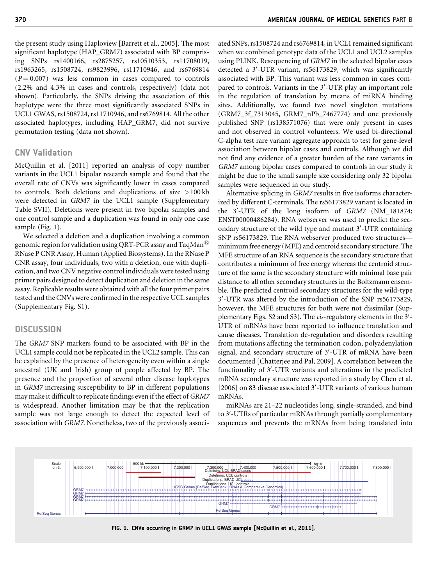the present study using Haploview [Barrett et al., 2005]. The most significant haplotype (HAP\_GRM7) associated with BP comprising SNPs rs1400166, rs2875257, rs10510353, rs11708019, rs1963265, rs1508724, rs9823996, rs11710946, and rs6769814  $(P = 0.007)$  was less common in cases compared to controls (2.2% and 4.3% in cases and controls, respectively) (data not shown). Particularly, the SNPs driving the association of this haplotype were the three most significantly associated SNPs in UCL1 GWAS, rs1508724, rs11710946, and rs6769814. All the other associated haplotypes, including HAP\_GRM7, did not survive permutation testing (data not shown).

# CNV Validation

McQuillin et al. [2011] reported an analysis of copy number variants in the UCL1 bipolar research sample and found that the overall rate of CNVs was significantly lower in cases compared to controls. Both deletions and duplications of size >100 kb were detected in GRM7 in the UCL1 sample (Supplementary Table SVII). Deletions were present in two bipolar samples and one control sample and a duplication was found in only one case sample (Fig. 1).

We selected a deletion and a duplication involving a common genomic region for validation using QRT-PCR assay and TaqMan<sup>®</sup> RNase P CNR Assay, Human (Applied Biosystems). In the RNase P CNR assay, four individuals, two with a deletion, one with duplication, and two CNV negative control individuals were tested using primer pairs designed to detect duplication and deletion in the same assay. Replicable results were obtained with all the four primer pairs tested and the CNVs were confirmed in the respective UCL samples (Supplementary Fig. S1).

#### **DISCUSSION**

The GRM7 SNP markers found to be associated with BP in the UCL1 sample could not be replicated in the UCL2 sample. This can be explained by the presence of heterogeneity even within a single ancestral (UK and Irish) group of people affected by BP. The presence and the proportion of several other disease haplotypes in GRM7 increasing susceptibility to BP in different populations may make it difficult to replicate findings even if the effect of GRM7 is widespread. Another limitation may be that the replication sample was not large enough to detect the expected level of association with GRM7. Nonetheless, two of the previously associated SNPs, rs1508724 and rs6769814, in UCL1 remained significant when we combined genotype data of the UCL1 and UCL2 samples using PLINK. Resequencing of GRM7 in the selected bipolar cases detected a 3'-UTR variant, rs56173829, which was significantly associated with BP. This variant was less common in cases compared to controls. Variants in the 3'-UTR play an important role in the regulation of translation by means of miRNA binding sites. Additionally, we found two novel singleton mutations (GRM7\_3f\_7313045, GRM7\_nPb\_7467774) and one previously published SNP (rs138571076) that were only present in cases and not observed in control volunteers. We used bi-directional C-alpha test rare variant aggregate approach to test for gene-level association between bipolar cases and controls. Although we did not find any evidence of a greater burden of the rare variants in GRM7 among bipolar cases compared to controls in our study it might be due to the small sample size considering only 32 bipolar samples were sequenced in our study.

Alternative splicing in GRM7 results in five isoforms characterized by different C-terminals. The rs56173829 variant is located in the 3'-UTR of the long isoform of GRM7 (NM\_181874; ENST00000486284). RNA webserver was used to predict the secondary structure of the wild type and mutant 3'-UTR containing SNP rs56173829. The RNA webserver produced two structures minimumfree energy (MFE) and centroid secondary structure. The MFE structure of an RNA sequence is the secondary structure that contributes a minimum of free energy whereas the centroid structure of the same is the secondary structure with minimal base pair distance to all other secondary structures in the Boltzmann ensemble. The predicted centroid secondary structures for the wild-type 3'-UTR was altered by the introduction of the SNP rs56173829, however, the MFE structures for both were not dissimilar (Supplementary Figs. S2 and S3). The *cis*-regulatory elements in the 3'-UTR of mRNAs have been reported to influence translation and cause diseases. Translation de-regulation and disorders resulting from mutations affecting the termination codon, polyadenylation signal, and secondary structure of 3'-UTR of mRNA have been documented [Chatterjee and Pal, 2009]. A correlation between the functionality of 3'-UTR variants and alterations in the predicted mRNA secondary structure was reported in a study by Chen et al. [ $2006$ ] on 83 disease associated  $3'$ -UTR variants of various human mRNAs.

miRNAs are 21–22 nucleotides long, single-stranded, and bind to 3'-UTRs of particular mRNAs through partially complementary sequences and prevents the mRNAs from being translated into

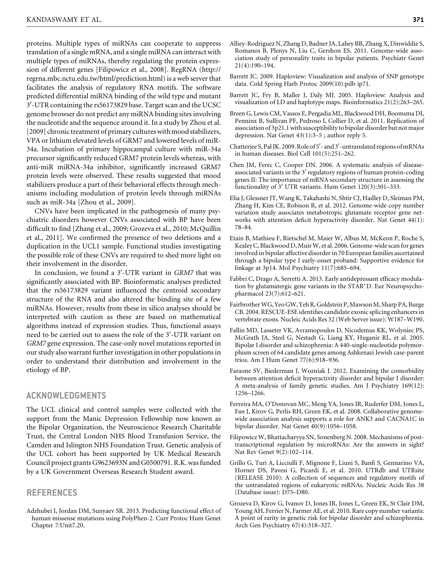proteins. Multiple types of miRNAs can cooperate to suppress translation of a single mRNA, and a single miRNA can interact with multiple types of miRNAs, thereby regulating the protein expression of different genes [Filipowicz et al., 2008]. RegRNA [\(http://](http://regrna.mbc.nctu.edu.tw/html/prediction.html) [regrna.mbc.nctu.edu.tw/html/prediction.html](http://regrna.mbc.nctu.edu.tw/html/prediction.html)) is a web server that facilitates the analysis of regulatory RNA motifs. The software predicted differential miRNA binding of the wild type and mutant 3'-UTR containing the rs56173829 base. Target scan and the UCSC genome browser do not predict any miRNA binding sites involving the nucleotide and the sequence around it. In a study by Zhou et al. [2009] chronic treatment of primary cultures with mood stabilizers, VPA or lithium elevated levels of GRM7 and lowered levels of miR-34a. Incubation of primary hippocampal culture with miR-34a precursor significantly reduced GRM7 protein levels whereas, with anti-miR miRNA-34a inhibitor, significantly increased GRM7 protein levels were observed. These results suggested that mood stabilizers produce a part of their behavioral effects through mechanisms including modulation of protein levels through miRNAs such as miR-34a [Zhou et al., 2009].

CNVs have been implicated in the pathogenesis of many psychiatric disorders however CNVs associated with BP have been difficult to find [Zhang et al., 2009; Grozeva et al., 2010; McQuillin et al., 2011]. We confirmed the presence of two deletions and a duplication in the UCL1 sample. Functional studies investigating the possible role of these CNVs are required to shed more light on their involvement in the disorder.

In conclusion, we found a 3'-UTR variant in GRM7 that was significantly associated with BP. Bioinformatic analyses predicted that the rs56173829 variant influenced the centroid secondary structure of the RNA and also altered the binding site of a few miRNAs. However, results from these in silico analyses should be interpreted with caution as these are based on mathematical algorithms instead of expression studies. Thus, functional assays need to be carried out to assess the role of the 3'-UTR variant on GRM7 gene expression. The case-only novel mutations reported in our study also warrant further investigation in other populations in order to understand their distribution and involvement in the etiology of BP.

### ACKNOWLEDGMENTS

The UCL clinical and control samples were collected with the support from the Manic Depression Fellowship now known as the Bipolar Organization, the Neuroscience Research Charitable Trust, the Central London NHS Blood Transfusion Service, the Camden and Islington NHS Foundation Trust. Genetic analysis of the UCL cohort has been supported by UK Medical Research Council project grants G9623693N and G0500791. R.K. was funded by a UK Government Overseas Research Student award.

#### REFERENCES

Adzhubei I, Jordan DM, Sunyaev SR. 2013. Predicting functional effect of human missense mutations using PolyPhen-2. Curr Protoc Hum Genet Chapter 7:Unit7.20.

- Alliey-Rodriguez N, Zhang D, Badner JA, Lahey BB, Zhang X, Dinwiddie S, Romanos B, Plenys N, Liu C, Gershon ES. 2011. Genome-wide association study of personality traits in bipolar patients. Psychiatr Genet 21(4):190–194.
- Barrett JC. 2009. Haploview: Visualization and analysis of SNP genotype data. Cold Spring Harb Protoc 2009(10):pdb ip71.
- Barrett JC, Fry B, Maller J, Daly MJ. 2005. Haploview: Analysis and visualization of LD and haplotype maps. Bioinformatics 21(2):263–265.
- Breen G, Lewis CM, Vassos E, Pergadia ML, Blackwood DH, Boomsma DI, Penninx B, Sullivan PF, Pedroso I, Collier D, et al. 2011. Replication of association of 3p21.1 with susceptibility to bipolar disorder but not major depression. Nat Genet 43(1):3–5 ; author reply 5.
- Chatterjee S, Pal JK. 2009. Role of 5'- and 3'-untranslated regions of mRNAs in human diseases. Biol Cell 101(5):251–262.
- Chen JM, Ferec C, Cooper DN. 2006. A systematic analysis of diseaseassociated variants in the  $3'$  regulatory regions of human protein-coding genes II: The importance of mRNA secondary structure in assessing the functionality of 3' UTR variants. Hum Genet 120(3):301-333.
- Elia J, Glessner JT, Wang K, Takahashi N, Shtir CJ, Hadley D, Sleiman PM, Zhang H, Kim CE, Robison R, et al. 2012. Genome-wide copy number variation study associates metabotropic glutamate receptor gene networks with attention deficit hyperactivity disorder. Nat Genet 44(1): 78–84.
- Etain B, Mathieu F, Rietschel M, Maier W, Albus M, McKeon P, Roche S, Kealey C, Blackwood D, MuirW, et al. 2006. Genome-wide scan for genes involved in bipolar affective disorder in 70 European families ascertained through a bipolar type I early-onset proband: Supportive evidence for linkage at 3p14. Mol Psychiatry 11(7):685–694.
- Fabbri C, Drago A, Serretti A. 2013. Early antidepressant efficacy modulation by glutamatergic gene variants in the STAR-D. Eur Neuropsychopharmacol 23(7):612–621.
- Fairbrother WG, Yeo GW, Yeh R, Goldstein P, Mawson M, Sharp PA, Burge CB. 2004. RESCUE-ESE identifies candidate exonic splicing enhancers in vertebrate exons. Nucleic Acids Res 32 (Web Server issue): W187–W190.
- Fallin MD, Lasseter VK, Avramopoulos D, Nicodemus KK, Wolyniec PS, McGrath JA, Steel G, Nestadt G, Liang KY, Huganir RL, et al. 2005. Bipolar I disorder and schizophrenia: A 440-single-nucleotide polymorphism screen of 64 candidate genes among Ashkenazi Jewish case-parent trios. Am J Hum Genet 77(6):918–936.
- Faraone SV, Biederman J, Wozniak J. 2012. Examining the comorbidity between attention deficit hyperactivity disorder and bipolar I disorder: A meta-analysis of family genetic studies. Am J Psychiatry 169(12): 1256–1266.
- Ferreira MA, O'Donovan MC, Meng YA, Jones IR, Ruderfer DM, Jones L, Fan J, Kirov G, Perlis RH, Green EK, et al. 2008. Collaborative genomewide association analysis supports a role for ANK3 and CACNA1C in bipolar disorder. Nat Genet 40(9):1056–1058.
- Filipowicz W, Bhattacharyya SN, Sonenberg N. 2008. Mechanisms of posttranscriptional regulation by microRNAs: Are the answers in sight? Nat Rev Genet 9(2):102–114.
- Grillo G, Turi A, Licciulli F, Mignone F, Liuni S, Banfi S, Gennarino VA, Horner DS, Pavesi G, Picardi E, et al. 2010. UTRdb and UTRsite (RELEASE 2010): A collection of sequences and regulatory motifs of the untranslated regions of eukaryotic mRNAs. Nucleic Acids Res 38 (Database issue): D75–D80.
- Grozeva D, Kirov G, Ivanov D, Jones IR, Jones L, Green EK, St Clair DM, Young AH, Ferrier N, Farmer AE, et al. 2010. Rare copy number variants: A point of rarity in genetic risk for bipolar disorder and schizophrenia. Arch Gen Psychiatry 67(4):318–327.